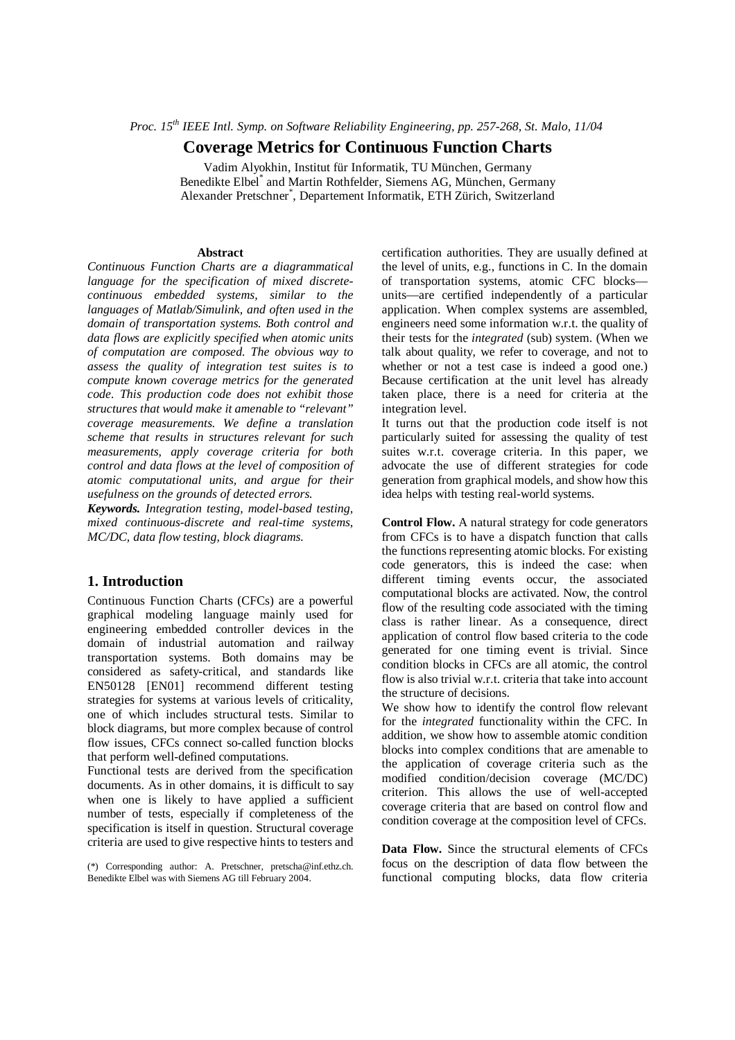*Proc. 15 th IEEE Intl. Symp. on Software Reliability Engineering, pp. 257-268, St. Malo, 11/04*

# **Coverage Metrics for Continuous Function Charts**

Vadim Alyokhin, Institut für Informatik, TU München, Germany Benedikte Elbel \* and Martin Rothfelder, Siemens AG, München, Germany Alexander Pretschner \* , Departement Informatik, ETH Zürich, Switzerland

#### **Abstract**

*Continuous Function Charts are a diagrammatical language for the specification of mixed discretecontinuous embedded systems, similar to the languages of Matlab/Simulink, and often used in the domain of transportation systems. Both control and data flows are explicitly specified when atomic units of computation are composed. The obvious way to assess the quality of integration test suites is to compute known coverage metrics for the generated code. This production code does not exhibit those structures that would make it amenable to "relevant" coverage measurements. We define a translation scheme that results in structures relevant for such measurements, apply coverage criteria for both control and data flows at the level of composition of atomic computational units, and argue for their usefulness on the grounds of detected errors.*

*Keywords. Integration testing, model-based testing, mixed continuous-discrete and real-time systems, MC/DC, data flow testing, block diagrams.*

## **1. Introduction**

Continuous Function Charts (CFCs) are a powerful graphical modeling language mainly used for engineering embedded controller devices in the domain of industrial automation and railway transportation systems. Both domains may be considered as safety-critical, and standards like EN50128 [EN01] recommend different testing strategies for systems at various levels of criticality, one of which includes structural tests. Similar to block diagrams, but more complex because of control flow issues, CFCs connect so-called function blocks that perform well-defined computations.

Functional tests are derived from the specification documents. As in other domains, it is difficult to say when one is likely to have applied a sufficient number of tests, especially if completeness of the specification is itself in question. Structural coverage criteria are used to give respective hints to testers and

certification authorities. They are usually defined at the level of units, e.g., functions in C. In the domain of transportation systems, atomic CFC blocks units—are certified independently of a particular application. When complex systems are assembled, engineers need some information w.r.t. the quality of their tests for the *integrated* (sub) system. (When we talk about quality, we refer to coverage, and not to whether or not a test case is indeed a good one.) Because certification at the unit level has already taken place, there is a need for criteria at the integration level.

It turns out that the production code itself is not particularly suited for assessing the quality of test suites w.r.t. coverage criteria. In this paper, we advocate the use of different strategies for code generation from graphical models, and show how this idea helps with testing real-world systems.

**Control Flow.** A natural strategy for code generators from CFCs is to have a dispatch function that calls the functions representing atomic blocks. For existing code generators, this is indeed the case: when different timing events occur, the associated computational blocks are activated. Now, the control flow of the resulting code associated with the timing class is rather linear. As a consequence, direct application of control flow based criteria to the code generated for one timing event is trivial. Since condition blocks in CFCs are all atomic, the control flow is also trivial w.r.t. criteria that take into account the structure of decisions.

We show how to identify the control flow relevant for the *integrated* functionality within the CFC. In addition, we show how to assemble atomic condition blocks into complex conditions that are amenable to the application of coverage criteria such as the modified condition/decision coverage (MC/DC) criterion. This allows the use of well-accepted coverage criteria that are based on control flow and condition coverage at the composition level of CFCs.

**Data Flow.** Since the structural elements of CFCs focus on the description of data flow between the functional computing blocks, data flow criteria

<sup>(\*)</sup> Corresponding author: A. Pretschner, pretscha@inf.ethz.ch. Benedikte Elbel was with Siemens AG till February 2004.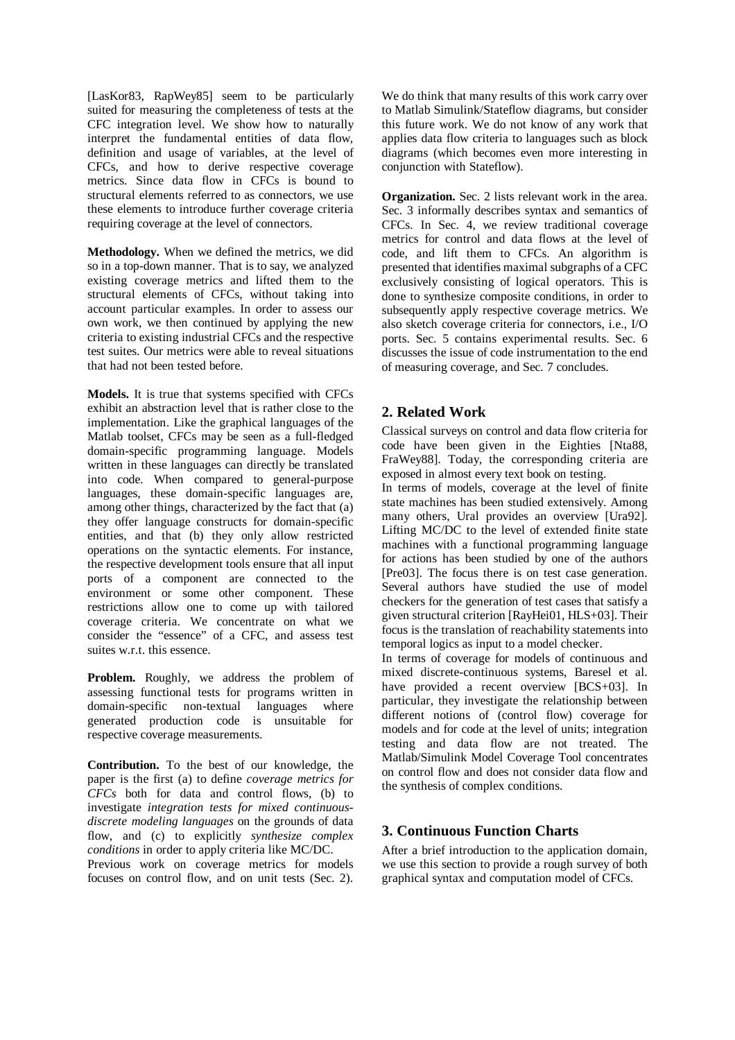[LasKor83, RapWey85] seem to be particularly suited for measuring the completeness of tests at the CFC integration level. We show how to naturally interpret the fundamental entities of data flow, definition and usage of variables, at the level of CFCs, and how to derive respective coverage metrics. Since data flow in CFCs is bound to structural elements referred to as connectors, we use these elements to introduce further coverage criteria requiring coverage at the level of connectors.

**Methodology.** When we defined the metrics, we did so in a top-down manner. That is to say, we analyzed existing coverage metrics and lifted them to the structural elements of CFCs, without taking into account particular examples. In order to assess our own work, we then continued by applying the new criteria to existing industrial CFCs and the respective test suites. Our metrics were able to reveal situations that had not been tested before.

**Models.** It is true that systems specified with CFCs exhibit an abstraction level that is rather close to the implementation. Like the graphical languages of the Matlab toolset, CFCs may be seen as a full-fledged domain-specific programming language. Models written in these languages can directly be translated into code. When compared to general-purpose languages, these domain-specific languages are, among other things, characterized by the fact that (a) they offer language constructs for domain-specific entities, and that (b) they only allow restricted operations on the syntactic elements. For instance, the respective development tools ensure that all input ports of a component are connected to the environment or some other component. These restrictions allow one to come up with tailored coverage criteria. We concentrate on what we consider the "essence" of a CFC, and assess test suites w.r.t. this essence.

**Problem.** Roughly, we address the problem of assessing functional tests for programs written in domain-specific non-textual languages where generated production code is unsuitable for respective coverage measurements.

**Contribution.** To the best of our knowledge, the paper is the first (a) to define *coverage metrics for CFCs* both for data and control flows, (b) to investigate *integration tests for mixed continuousdiscrete modeling languages* on the grounds of data flow, and (c) to explicitly *synthesize complex conditions* in order to apply criteria like MC/DC.

Previous work on coverage metrics for models focuses on control flow, and on unit tests (Sec. 2).

We do think that many results of this work carry over to Matlab Simulink/Stateflow diagrams, but consider this future work. We do not know of any work that applies data flow criteria to languages such as block diagrams (which becomes even more interesting in conjunction with Stateflow).

**Organization.** Sec. 2 lists relevant work in the area. Sec. 3 informally describes syntax and semantics of CFCs. In Sec. 4, we review traditional coverage metrics for control and data flows at the level of code, and lift them to CFCs. An algorithm is presented that identifies maximal subgraphs of a CFC exclusively consisting of logical operators. This is done to synthesize composite conditions, in order to subsequently apply respective coverage metrics. We also sketch coverage criteria for connectors, i.e., I/O ports. Sec. 5 contains experimental results. Sec. 6 discusses the issue of code instrumentation to the end of measuring coverage, and Sec. 7 concludes.

# **2. Related Work**

Classical surveys on control and data flow criteria for code have been given in the Eighties [Nta88, FraWey88]. Today, the corresponding criteria are exposed in almost every text book on testing. In terms of models, coverage at the level of finite state machines has been studied extensively. Among many others, Ural provides an overview [Ura92]. Lifting MC/DC to the level of extended finite state machines with a functional programming language for actions has been studied by one of the authors [Pre03]. The focus there is on test case generation. Several authors have studied the use of model checkers for the generation of test cases that satisfy a given structural criterion [RayHei01, HLS+03]. Their focus is the translation of reachability statements into temporal logics as input to a model checker.

In terms of coverage for models of continuous and mixed discrete-continuous systems, Baresel et al. have provided a recent overview [BCS+03]. In particular, they investigate the relationship between different notions of (control flow) coverage for models and for code at the level of units; integration testing and data flow are not treated. The Matlab/Simulink Model Coverage Tool concentrates on control flow and does not consider data flow and the synthesis of complex conditions.

# **3. Continuous Function Charts**

After a brief introduction to the application domain, we use this section to provide a rough survey of both graphical syntax and computation model of CFCs.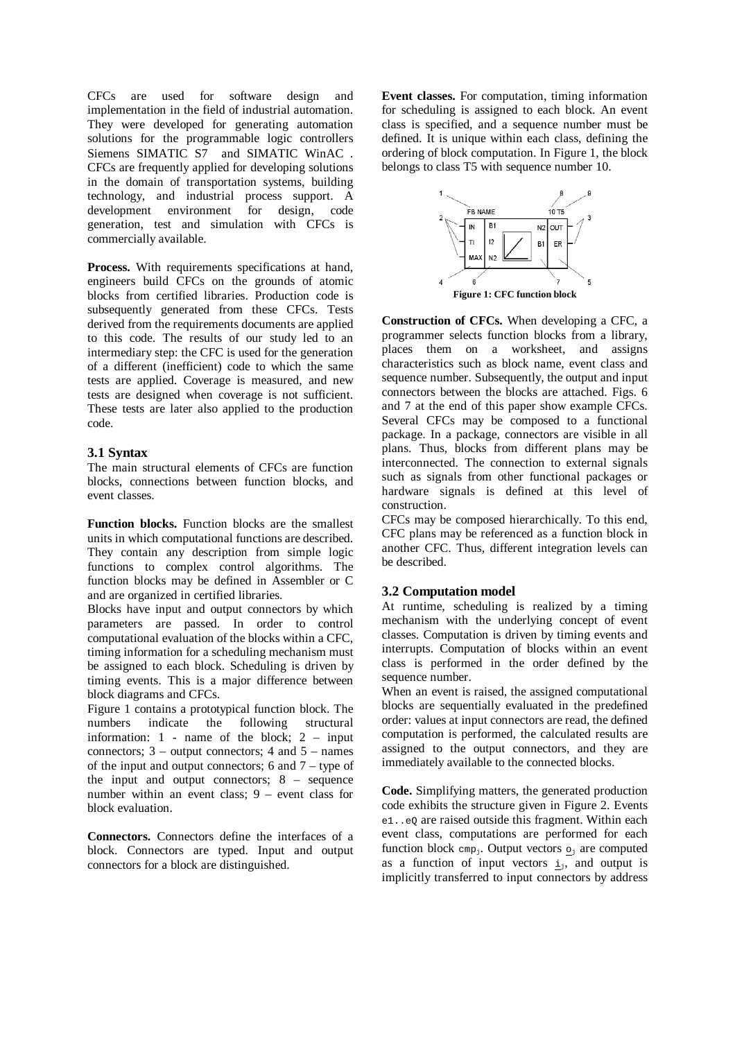CFCs are used for software design and implementation in the field of industrial automation. They were developed for generating automation solutions for the programmable logic controllers Siemens SIMATIC  $S7^{\circledast}$  and SIMATIC WinAC<sup>®</sup>. CFCs are frequently applied for developing solutions in the domain of transportation systems, building technology, and industrial process support. A development environment for design, code generation, test and simulation with CFCs is commercially available.

**Process.** With requirements specifications at hand, engineers build CFCs on the grounds of atomic blocks from certified libraries. Production code is subsequently generated from these CFCs. Tests derived from the requirements documents are applied to this code. The results of our study led to an intermediary step: the CFC is used for the generation of a different (inefficient) code to which the same tests are applied. Coverage is measured, and new tests are designed when coverage is not sufficient. These tests are later also applied to the production code.

#### **3.1 Syntax**

The main structural elements of CFCs are function blocks, connections between function blocks, and event classes.

**Function blocks.** Function blocks are the smallest units in which computational functions are described. They contain any description from simple logic functions to complex control algorithms. The function blocks may be defined in Assembler or C and are organized in certified libraries.

Blocks have input and output connectors by which parameters are passed. In order to control computational evaluation of the blocks within a CFC, timing information for a scheduling mechanism must be assigned to each block. Scheduling is driven by timing events. This is a major difference between block diagrams and CFCs.

Figure 1 contains a prototypical function block. The numbers indicate the following structural information: 1 - name of the block; 2 – input connectors;  $3$  – output connectors;  $4$  and  $5$  – names of the input and output connectors; 6 and  $7 -$  type of the input and output connectors;  $8 - \text{sequence}$ number within an event class; 9 – event class for block evaluation.

**Connectors.** Connectors define the interfaces of a block. Connectors are typed. Input and output connectors for a block are distinguished.

**Event classes.** For computation, timing information for scheduling is assigned to each block. An event class is specified, and a sequence number must be defined. It is unique within each class, defining the ordering of block computation. In Figure 1, the block belongs to class T5 with sequence number 10.



**Construction of CFCs.** When developing a CFC, a programmer selects function blocks from a library, places them on a worksheet, and assigns characteristics such as block name, event class and sequence number. Subsequently, the output and input connectors between the blocks are attached. Figs. 6 and 7 at the end of this paper show example CFCs. Several CFCs may be composed to a functional package. In a package, connectors are visible in all plans. Thus, blocks from different plans may be interconnected. The connection to external signals such as signals from other functional packages or hardware signals is defined at this level of construction.

CFCs may be composed hierarchically. To this end, CFC plans may be referenced as a function block in another CFC. Thus, different integration levels can be described.

#### **3.2 Computation model**

At runtime, scheduling is realized by a timing mechanism with the underlying concept of event classes. Computation is driven by timing events and interrupts. Computation of blocks within an event class is performed in the order defined by the sequence number.

When an event is raised, the assigned computational blocks are sequentially evaluated in the predefined order: values at input connectors are read, the defined computation is performed, the calculated results are assigned to the output connectors, and they are immediately available to the connected blocks.

**Code.** Simplifying matters, the generated production code exhibits the structure given in Figure 2. Events e1..eQ are raised outside this fragment. Within each event class, computations are performed for each function block cmp<sub>j</sub>. Output vectors  $\overline{\mathcal{O}}_j$  are computed as a function of input vectors  $i_j$ , and output is implicitly transferred to input connectors by address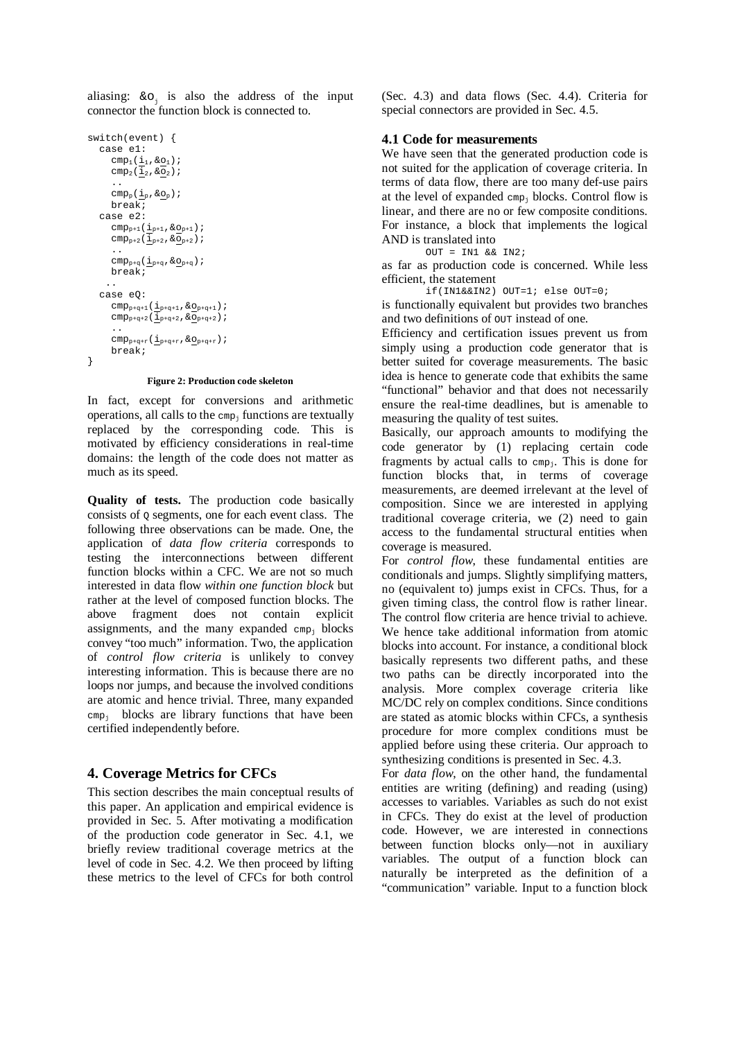aliasing:  $\&o_j$  is also the address of the input connector the function block is connected to.

```
switch(event) {
    case e1:
          cmp_1(i_1, & 0_1);cmp<sub>2</sub>(\overline{\underline{i}}_2, &\overline{\underline{o}}_2);
           ..
          cmp_p(i_p, \&o_p);break;
     case e2:
          cmp_{p+1}(\underline{i}_{p+1},\&\underline{o}_{p+1});
          cmp_{p+2}(\underline{i}_{p+2},\&O_{p+2});
           ..
          \mathtt{cmp}_{p+q}(\underbrace{\mathtt{i}_{p+q}},\mathtt{\& o}_{p+q}) ;
          break;
        ..
     case eQ:
          \mathtt{cmp}_{p+q+1}(\underbrace{\mathbf{i}_{p+q+1}},\mathtt{\&}\underbrace{\mathtt{o}_{p+q+1}}) ;
          \mathtt{cmp}_{p+q+2}(\underbrace{\mathtt{i}_{p+q+2}},\mathtt{\& o}_{p+q+2}) ;
           ..
          cmp_{p+q+r}(\underline{i}_{p+q+r},\&\underline{o}_{p+q+r});
          break;
}
```
#### **Figure 2: Production code skeleton**

In fact, except for conversions and arithmetic operations, all calls to the  $\text{cmp}_i$  functions are textually replaced by the corresponding code. This is motivated by efficiency considerations in real-time domains: the length of the code does not matter as much as its speed.

**Quality of tests.** The production code basically consists of  $\varphi$  segments, one for each event class. The following three observations can be made. One, the application of *data flow criteria* corresponds to testing the interconnections between different function blocks within a CFC. We are not so much interested in data flow *within one function block* but rather at the level of composed function blocks. The above fragment does not contain explicit assignments, and the many expanded  $cmp<sub>i</sub>$  blocks convey "too much" information. Two, the application of *control flow criteria* is unlikely to convey interesting information. This is because there are no loops nor jumps, and because the involved conditions are atomic and hence trivial. Three, many expanded  $cmp<sub>i</sub>$  blocks are library functions that have been certified independently before.

### **4. Coverage Metrics for CFCs**

This section describes the main conceptual results of this paper. An application and empirical evidence is provided in Sec. 5. After motivating a modification of the production code generator in Sec. 4.1, we briefly review traditional coverage metrics at the level of code in Sec. 4.2. We then proceed by lifting these metrics to the level of CFCs for both control (Sec. 4.3) and data flows (Sec. 4.4). Criteria for special connectors are provided in Sec. 4.5.

#### **4.1 Code for measurements**

We have seen that the generated production code is not suited for the application of coverage criteria. In terms of data flow, there are too many def-use pairs at the level of expanded  $cmp_i$  blocks. Control flow is linear, and there are no or few composite conditions. For instance, a block that implements the logical AND is translated into

 $OUT = IN1 & & & ID2;$ 

as far as production code is concerned. While less efficient, the statement

if(IN1&&IN2) OUT=1; else OUT=0;

is functionally equivalent but provides two branches and two definitions of OUT instead of one.

Efficiency and certification issues prevent us from simply using a production code generator that is better suited for coverage measurements. The basic idea is hence to generate code that exhibits the same "functional" behavior and that does not necessarily ensure the real-time deadlines, but is amenable to measuring the quality of test suites.

Basically, our approach amounts to modifying the code generator by (1) replacing certain code fragments by actual calls to  $cmp_i$ . This is done for function blocks that, in terms of coverage measurements, are deemed irrelevant at the level of composition. Since we are interested in applying traditional coverage criteria, we (2) need to gain access to the fundamental structural entities when coverage is measured.

For *control flow*, these fundamental entities are conditionals and jumps. Slightly simplifying matters, no (equivalent to) jumps exist in CFCs. Thus, for a given timing class, the control flow is rather linear. The control flow criteria are hence trivial to achieve. We hence take additional information from atomic blocks into account. For instance, a conditional block basically represents two different paths, and these two paths can be directly incorporated into the analysis. More complex coverage criteria like MC/DC rely on complex conditions. Since conditions are stated as atomic blocks within CFCs, a synthesis procedure for more complex conditions must be applied before using these criteria. Our approach to synthesizing conditions is presented in Sec. 4.3.

For *data flow*, on the other hand, the fundamental entities are writing (defining) and reading (using) accesses to variables. Variables as such do not exist in CFCs. They do exist at the level of production code. However, we are interested in connections between function blocks only—not in auxiliary variables. The output of a function block can naturally be interpreted as the definition of a "communication" variable. Input to a function block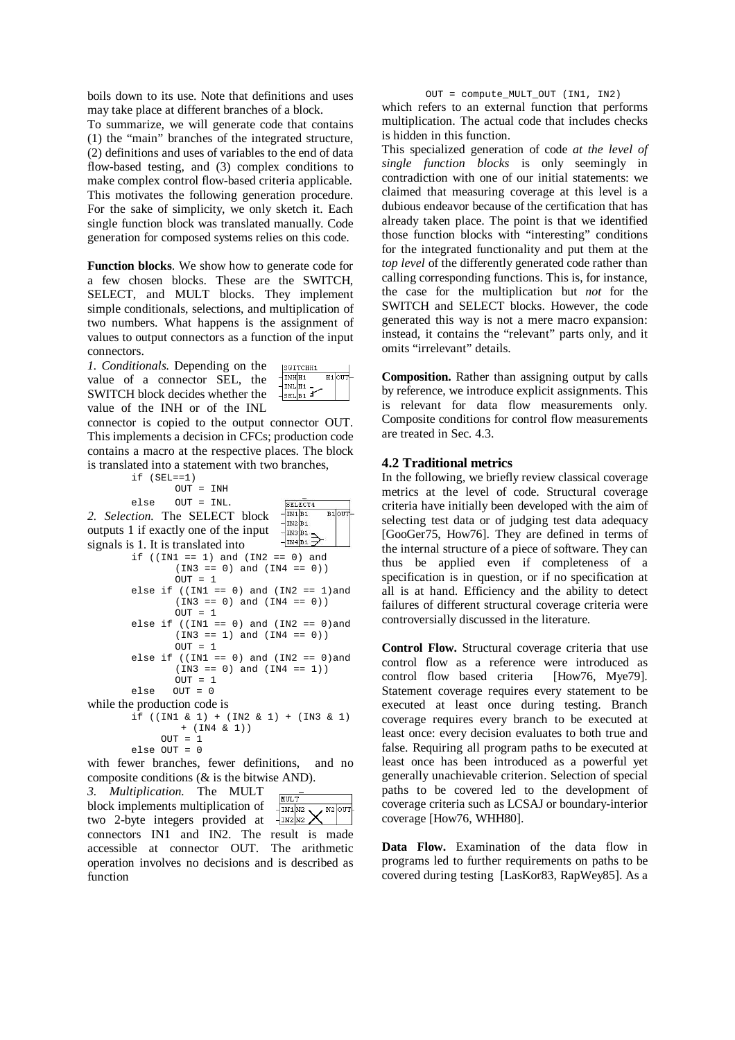boils down to its use. Note that definitions and uses may take place at different branches of a block.

To summarize, we will generate code that contains (1) the "main" branches of the integrated structure, (2) definitions and uses of variables to the end of data flow-based testing, and (3) complex conditions to make complex control flow-based criteria applicable. This motivates the following generation procedure. For the sake of simplicity, we only sketch it. Each single function block was translated manually. Code generation for composed systems relies on this code.

**Function blocks**. We show how to generate code for a few chosen blocks. These are the SWITCH, SELECT, and MULT blocks. They implement simple conditionals, selections, and multiplication of two numbers. What happens is the assignment of values to output connectors as a function of the input connectors.

*1. Conditionals.* Depending on the value of a connector SEL, the SWITCH block decides whether the value of the INH or of the INL



connector is copied to the output connector OUT. This implements a decision in CFCs; production code contains a macro at the respective places. The block is translated into a statement with two branches,  $if (err = -1)$ 

| OUT = INH                                                                                     |
|-----------------------------------------------------------------------------------------------|
| OUT = INL.<br>else<br>SELECT4                                                                 |
| $-$ IN1B1<br>$B1$ OUT<br>2. Selection. The SELECT block<br>IN2B1                              |
| outputs 1 if exactly one of the input<br>$-$ IN3B1.                                           |
| $-IM4B1 -$<br>signals is 1. It is translated into                                             |
| if $($ [IN1 == 1) and [IN2 == 0) and                                                          |
| $(IN3 == 0)$ and $(IN4 == 0)$                                                                 |
| $OUT = 1$                                                                                     |
| else if $($ IN1 == 0) and $(IN2 == 1)$ and                                                    |
| $(IN3 == 0)$ and $(IN4 == 0)$                                                                 |
| $OUT = 1$                                                                                     |
| else if $($ IN1 == 0) and $(IN2 == 0)$ and                                                    |
| $(IN3 == 1)$ and $(IN4 == 0)$                                                                 |
| $OUT = 1$                                                                                     |
| else if $(IN1 == 0)$ and $IN2 == 0)$ and                                                      |
| $(IN3 == 0)$ and $(IN4 == 1)$                                                                 |
| $OUT = 1$                                                                                     |
| else<br>$OUT = 0$                                                                             |
| while the production code is                                                                  |
| if $((IN1 & 1) + (IN2 & 1) + (IN3 & 1))$                                                      |
| $+$ (IN4 & 1))                                                                                |
| $OUT = 1$                                                                                     |
| $else$ OUT = 0                                                                                |
| with fewer branches, fewer definitions, and no                                                |
| composite conditions $(X$ is the bitwise AND).                                                |
| 3. Multiplication. The MULT                                                                   |
| <b>NULT</b><br>block implements multiplication of<br>$\frac{1}{\sqrt{N1N2}}$ $\sqrt{N2 00T }$ |
|                                                                                               |

two 2-byte integers provided at connectors IN1 and IN2. The result is made accessible at connector OUT. The arithmetic operation involves no decisions and is described as function

OUT = compute\_MULT\_OUT (IN1, IN2)

which refers to an external function that performs multiplication. The actual code that includes checks is hidden in this function.

This specialized generation of code *at the level of single function blocks* is only seemingly in contradiction with one of our initial statements: we claimed that measuring coverage at this level is a dubious endeavor because of the certification that has already taken place. The point is that we identified those function blocks with "interesting" conditions for the integrated functionality and put them at the *top level* of the differently generated code rather than calling corresponding functions. This is, for instance, the case for the multiplication but *not* for the SWITCH and SELECT blocks. However, the code generated this way is not a mere macro expansion: instead, it contains the "relevant" parts only, and it omits "irrelevant" details.

**Composition.** Rather than assigning output by calls by reference, we introduce explicit assignments. This is relevant for data flow measurements only. Composite conditions for control flow measurements are treated in Sec. 4.3.

#### **4.2 Traditional metrics**

In the following, we briefly review classical coverage metrics at the level of code. Structural coverage criteria have initially been developed with the aim of selecting test data or of judging test data adequacy [GooGer75, How76]. They are defined in terms of the internal structure of a piece of software. They can thus be applied even if completeness of a specification is in question, or if no specification at all is at hand. Efficiency and the ability to detect failures of different structural coverage criteria were controversially discussed in the literature.

**Control Flow.** Structural coverage criteria that use control flow as a reference were introduced as control flow based criteria [How76, Mye79]. Statement coverage requires every statement to be executed at least once during testing. Branch coverage requires every branch to be executed at least once: every decision evaluates to both true and false. Requiring all program paths to be executed at least once has been introduced as a powerful yet generally unachievable criterion. Selection of special paths to be covered led to the development of coverage criteria such as LCSAJ or boundary-interior coverage [How76, WHH80].

**Data Flow.** Examination of the data flow in programs led to further requirements on paths to be covered during testing [LasKor83, RapWey85]. As a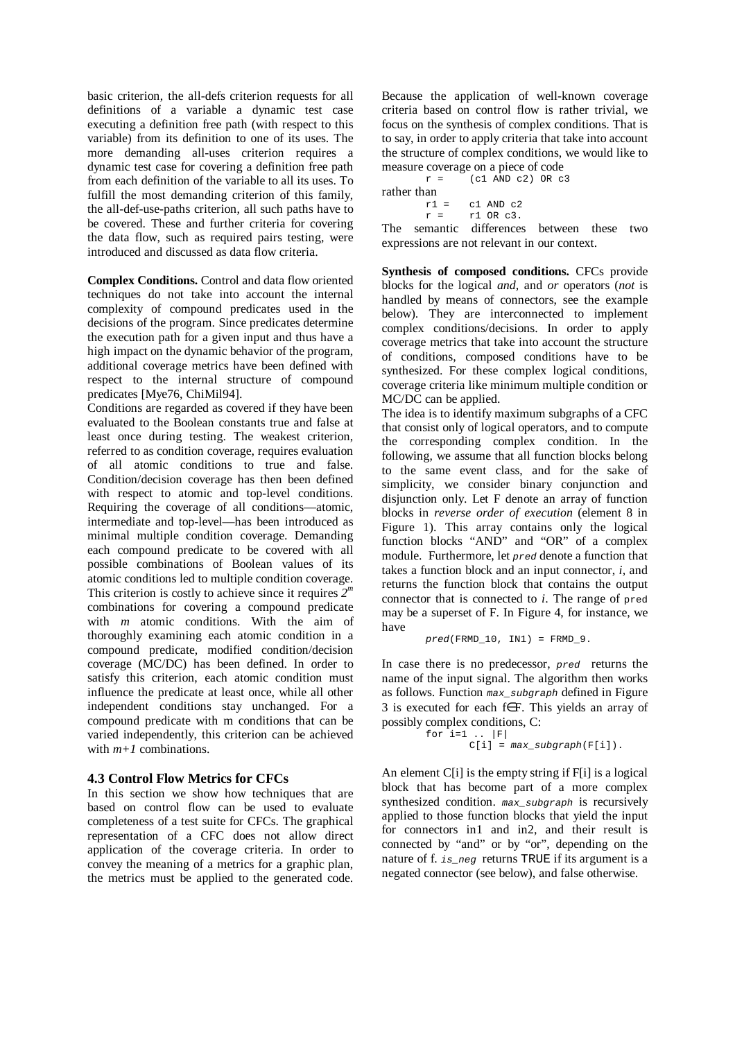basic criterion, the all-defs criterion requests for all definitions of a variable a dynamic test case executing a definition free path (with respect to this variable) from its definition to one of its uses. The more demanding all-uses criterion requires a dynamic test case for covering a definition free path from each definition of the variable to all its uses. To fulfill the most demanding criterion of this family, the all-def-use-paths criterion, all such paths have to be covered. These and further criteria for covering the data flow, such as required pairs testing, were introduced and discussed as data flow criteria.

**Complex Conditions.** Control and data flow oriented techniques do not take into account the internal complexity of compound predicates used in the decisions of the program. Since predicates determine the execution path for a given input and thus have a high impact on the dynamic behavior of the program, additional coverage metrics have been defined with respect to the internal structure of compound predicates [Mye76, ChiMil94].

Conditions are regarded as covered if they have been evaluated to the Boolean constants true and false at least once during testing. The weakest criterion, referred to as condition coverage, requires evaluation of all atomic conditions to true and false. Condition/decision coverage has then been defined with respect to atomic and top-level conditions. Requiring the coverage of all conditions—atomic, intermediate and top-level—has been introduced as minimal multiple condition coverage. Demanding each compound predicate to be covered with all possible combinations of Boolean values of its atomic conditions led to multiple condition coverage. This criterion is costly to achieve since it requires *2 m* combinations for covering a compound predicate with *m* atomic conditions. With the aim of thoroughly examining each atomic condition in a compound predicate, modified condition/decision coverage (MC/DC) has been defined. In order to satisfy this criterion, each atomic condition must influence the predicate at least once, while all other independent conditions stay unchanged. For a compound predicate with m conditions that can be varied independently, this criterion can be achieved with  $m+1$  combinations.

### **4.3 Control Flow Metrics for CFCs**

In this section we show how techniques that are based on control flow can be used to evaluate completeness of a test suite for CFCs. The graphical representation of a CFC does not allow direct application of the coverage criteria. In order to convey the meaning of a metrics for a graphic plan, the metrics must be applied to the generated code.

Because the application of well-known coverage criteria based on control flow is rather trivial, we focus on the synthesis of complex conditions. That is to say, in order to apply criteria that take into account the structure of complex conditions, we would like to measure coverage on a piece of code

 $r =$  (c1 AND c2) OR c3 rather than

 $r1 = c1$  AND  $c2$  $r = r1$  OR  $c3$ 

The semantic differences between these two expressions are not relevant in our context.

**Synthesis of composed conditions.** CFCs provide blocks for the logical *and,* and *or* operators (*not* is handled by means of connectors, see the example below). They are interconnected to implement complex conditions/decisions. In order to apply coverage metrics that take into account the structure of conditions, composed conditions have to be synthesized. For these complex logical conditions, coverage criteria like minimum multiple condition or MC/DC can be applied.

The idea is to identify maximum subgraphs of a CFC that consist only of logical operators, and to compute the corresponding complex condition. In the following, we assume that all function blocks belong to the same event class, and for the sake of simplicity, we consider binary conjunction and disjunction only. Let F denote an array of function blocks in *reverse order of execution* (element 8 in Figure 1). This array contains only the logical function blocks "AND" and "OR" of a complex module. Furthermore, let pred denote a function that takes a function block and an input connector, *i,* and returns the function block that contains the output connector that is connected to *i*. The range of pred may be a superset of F. In Figure 4, for instance, we have

```
pred(FRMD_10, IN1) = FRMD_9.
```
In case there is no predecessor, *pred* returns the name of the input signal. The algorithm then works as follows. Function max\_subgraph defined in Figure 3 is executed for each f∈F. This yields an array of possibly complex conditions, C:

for  $i=1$  ..  $|F|$  $C[i] = max\_subgraph(F[i]).$ 

An element C[i] is the empty string if F[i] is a logical block that has become part of a more complex synthesized condition. max\_subgraph is recursively applied to those function blocks that yield the input for connectors in1 and in2, and their result is connected by "and" or by "or", depending on the nature of f.  $is\_neg$  returns TRUE if its argument is a negated connector (see below), and false otherwise.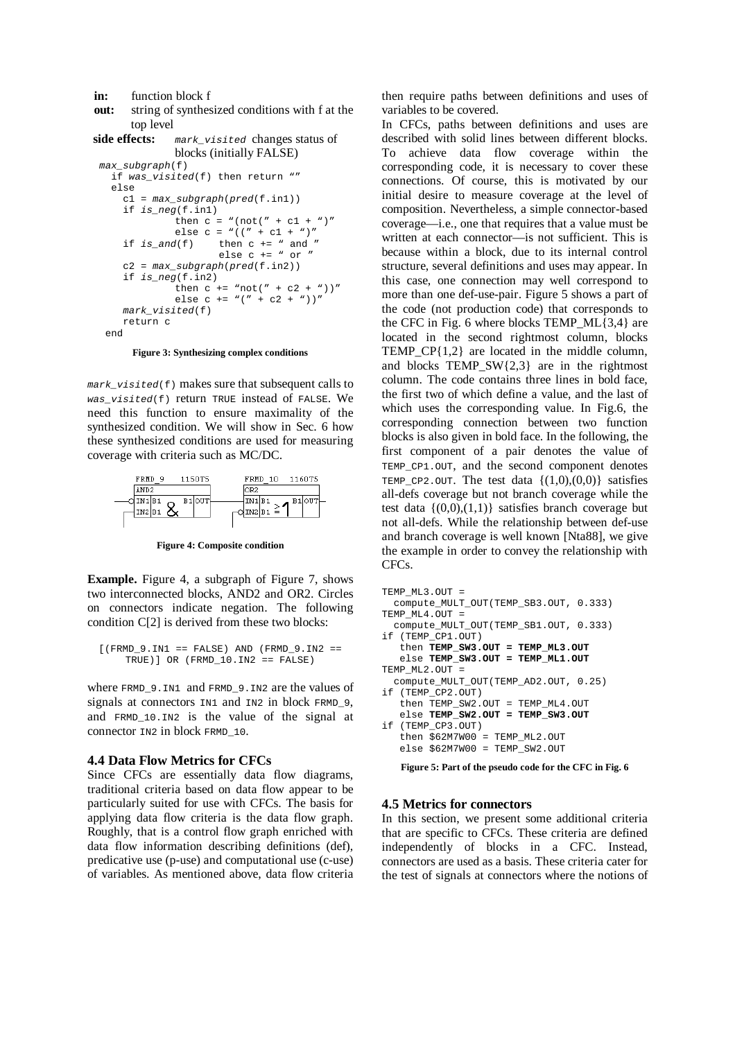**in:** function block f

```
out: string of synthesized conditions with f at the
       top level
```

```
side effects: mark_visited changes status of
              blocks (initially FALSE)
max_subgraph(f)
   if was_visited(f) then return ""
   else
     cl = max subgraph(pred(f.in1))
     if is_neg(f.in1)
              then c = "(not(" + c1 + "))"else c = "((" + c1 + ")"if is\_and(f) then c += " and "else c += " or "c2 = max\_subgraph(pred(f.in2))if is_neg(f.in2)
             then c += "not(" + c2 + "))"
              else c := "(" + c2 + "))"mark_visited(f)
     return c
  end
```
**Figure 3: Synthesizing complex conditions**

mark\_visited(f) makes sure that subsequent calls to was\_visited(f) return TRUE instead of FALSE. We need this function to ensure maximality of the synthesized condition. We will show in Sec. 6 how these synthesized conditions are used for measuring coverage with criteria such as MC/DC.



**Figure 4: Composite condition**

**Example.** Figure 4, a subgraph of Figure 7, shows two interconnected blocks, AND2 and OR2. Circles on connectors indicate negation. The following condition C[2] is derived from these two blocks:

```
[(FRMD_9.IN1 == FALSE) AND (FRMD_9.IN2 ==TRUE)] OR (FRMD_10.IN2 == FALSE)
```
where FRMD\_9.IN1 and FRMD\_9.IN2 are the values of signals at connectors IN1 and IN2 in block FRMD<sub>9</sub>, and FRMD\_10.IN2 is the value of the signal at connector IN2 in block FRMD\_10.

#### **4.4 Data Flow Metrics for CFCs**

Since CFCs are essentially data flow diagrams, traditional criteria based on data flow appear to be particularly suited for use with CFCs. The basis for applying data flow criteria is the data flow graph. Roughly, that is a control flow graph enriched with data flow information describing definitions (def), predicative use (p-use) and computational use (c-use) of variables. As mentioned above, data flow criteria then require paths between definitions and uses of variables to be covered.

In CFCs, paths between definitions and uses are described with solid lines between different blocks. To achieve data flow coverage within the corresponding code, it is necessary to cover these connections. Of course, this is motivated by our initial desire to measure coverage at the level of composition. Nevertheless, a simple connector-based coverage—i.e., one that requires that a value must be written at each connector—is not sufficient. This is because within a block, due to its internal control structure, several definitions and uses may appear. In this case, one connection may well correspond to more than one def-use-pair. Figure 5 shows a part of the code (not production code) that corresponds to the CFC in Fig. 6 where blocks TEMP\_ML{3,4} are located in the second rightmost column, blocks TEMP\_CP{1,2} are located in the middle column, and blocks TEMP\_SW{2,3} are in the rightmost column. The code contains three lines in bold face, the first two of which define a value, and the last of which uses the corresponding value. In Fig.6, the corresponding connection between two function blocks is also given in bold face. In the following, the first component of a pair denotes the value of TEMP\_CP1.OUT, and the second component denotes TEMP\_CP2.OUT. The test data  $\{(1,0),(0,0)\}$  satisfies all-defs coverage but not branch coverage while the test data  $\{(0,0),(1,1)\}$  satisfies branch coverage but not all-defs. While the relationship between def-use and branch coverage is well known [Nta88], we give the example in order to convey the relationship with CFCs.

```
TEMP_ML3.OUT =
  compute_MULT_OUT(TEMP_SB3.OUT, 0.333)
TEMP_ML4.OUT =compute_MULT_OUT(TEMP_SB1.OUT, 0.333)
if (TEMP_CP1.OUT)
   then TEMP_SW3.OUT = TEMP_ML3.OUT
   else TEMP_SW3.OUT = TEMP_ML1.OUT
TEMP_ML2.OUT =
  compute_MULT_OUT(TEMP_AD2.OUT, 0.25)
if (TEMP_CP2.OUT)
   then TEMP_SW2.OUT = TEMP_ML4.OUT
   else TEMP_SW2.OUT = TEMP_SW3.OUT
if (TEMP_CP3.OUT)
   then $62M7W00 = TEMP_ML2.OUT
   else $62M7W00 = TEMP_SW2.OUT
```
**Figure 5: Part of the pseudo code for the CFC in Fig. 6**

#### **4.5 Metrics for connectors**

In this section, we present some additional criteria that are specific to CFCs. These criteria are defined independently of blocks in a CFC. Instead, connectors are used as a basis. These criteria cater for the test of signals at connectors where the notions of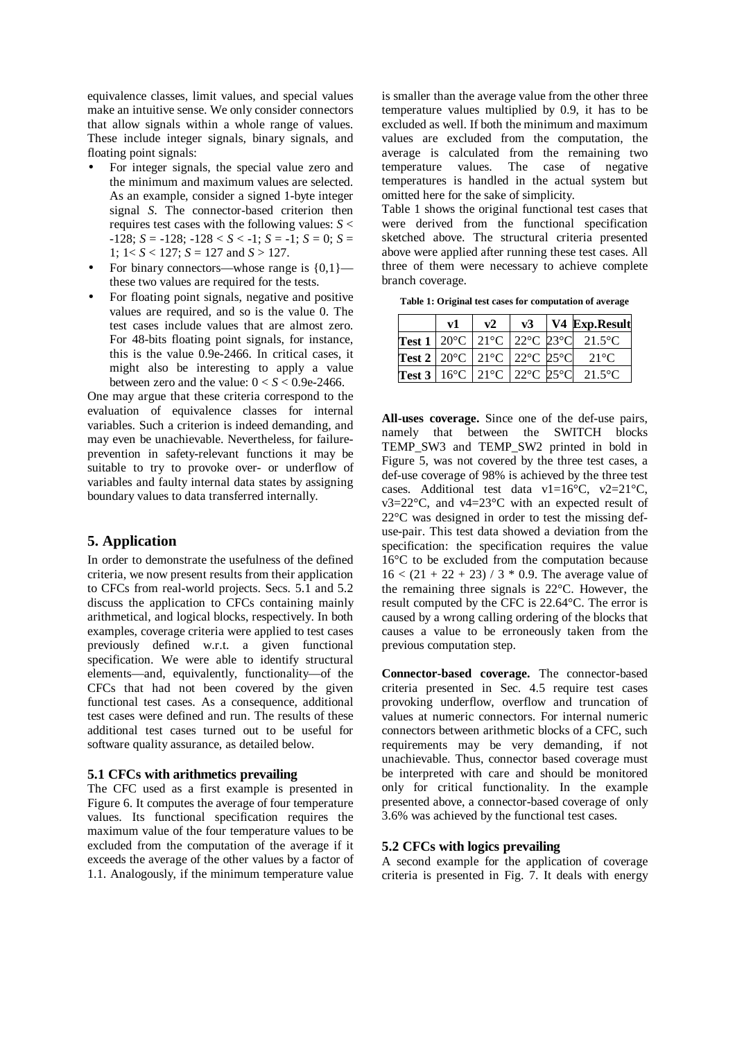equivalence classes, limit values, and special values make an intuitive sense. We only consider connectors that allow signals within a whole range of values. These include integer signals, binary signals, and floating point signals:

- For integer signals, the special value zero and the minimum and maximum values are selected. As an example, consider a signed 1-byte integer signal *S*. The connector-based criterion then requires test cases with the following values: *S* < -128; *S* = -128; -128 < *S* < -1; *S* = -1; *S* = 0; *S* = 1:  $1 < S < 127$ ;  $S = 127$  and  $S > 127$ .
- For binary connectors—whose range is  $\{0,1\}$  these two values are required for the tests.
- For floating point signals, negative and positive values are required, and so is the value 0. The test cases include values that are almost zero. For 48-bits floating point signals, for instance, this is the value 0.9e-2466. In critical cases, it might also be interesting to apply a value between zero and the value:  $0 < S < 0.9e-2466$ .

One may argue that these criteria correspond to the evaluation of equivalence classes for internal variables. Such a criterion is indeed demanding, and may even be unachievable. Nevertheless, for failureprevention in safety-relevant functions it may be suitable to try to provoke over- or underflow of variables and faulty internal data states by assigning boundary values to data transferred internally.

### **5. Application**

In order to demonstrate the usefulness of the defined criteria, we now present results from their application to CFCs from real-world projects. Secs. 5.1 and 5.2 discuss the application to CFCs containing mainly arithmetical, and logical blocks, respectively. In both examples, coverage criteria were applied to test cases previously defined w.r.t. a given functional specification. We were able to identify structural elements—and, equivalently, functionality—of the CFCs that had not been covered by the given functional test cases. As a consequence, additional test cases were defined and run. The results of these additional test cases turned out to be useful for software quality assurance, as detailed below.

#### **5.1 CFCs with arithmetics prevailing**

The CFC used as a first example is presented in Figure 6. It computes the average of four temperature values. Its functional specification requires the maximum value of the four temperature values to be excluded from the computation of the average if it exceeds the average of the other values by a factor of 1.1. Analogously, if the minimum temperature value

is smaller than the average value from the other three temperature values multiplied by 0.9, it has to be excluded as well. If both the minimum and maximum values are excluded from the computation, the average is calculated from the remaining two temperature values. The case of negative temperatures is handled in the actual system but omitted here for the sake of simplicity.

Table 1 shows the original functional test cases that were derived from the functional specification sketched above. The structural criteria presented above were applied after running these test cases. All three of them were necessary to achieve complete branch coverage.

**Table 1: Original test cases for computation of average**

|                                                                                       | v1 | v2 | v3 | V4 Exp.Result                               |
|---------------------------------------------------------------------------------------|----|----|----|---------------------------------------------|
|                                                                                       |    |    |    | Test 1   20°C   21°C   22°C   23°C   21.5°C |
| <b>Test 2</b>   20 $^{\circ}$ C   21 $^{\circ}$ C   22 $^{\circ}$ C   25 $^{\circ}$ C |    |    |    | $21^{\circ}$ C                              |
| <b>Test 3</b>   $16^{\circ}$ C   $21^{\circ}$ C   $22^{\circ}$ C   $25^{\circ}$ C     |    |    |    | $-21.5$ °C                                  |

**All-uses coverage.** Since one of the def-use pairs, namely that between the SWITCH blocks TEMP\_SW3 and TEMP\_SW2 printed in bold in Figure 5, was not covered by the three test cases, a def-use coverage of 98% is achieved by the three test cases. Additional test data v1=16°C, v2=21°C,  $v3=22^{\circ}$ C, and  $v4=23^{\circ}$ C with an expected result of 22°C was designed in order to test the missing defuse-pair. This test data showed a deviation from the specification: the specification requires the value 16°C to be excluded from the computation because  $16 < (21 + 22 + 23) / 3 * 0.9$ . The average value of the remaining three signals is 22°C. However, the result computed by the CFC is 22.64°C. The error is caused by a wrong calling ordering of the blocks that causes a value to be erroneously taken from the previous computation step.

**Connector-based coverage.** The connector-based criteria presented in Sec. 4.5 require test cases provoking underflow, overflow and truncation of values at numeric connectors. For internal numeric connectors between arithmetic blocks of a CFC, such requirements may be very demanding, if not unachievable. Thus, connector based coverage must be interpreted with care and should be monitored only for critical functionality. In the example presented above, a connector-based coverage of only 3.6% was achieved by the functional test cases.

### **5.2 CFCs with logics prevailing**

A second example for the application of coverage criteria is presented in Fig. 7. It deals with energy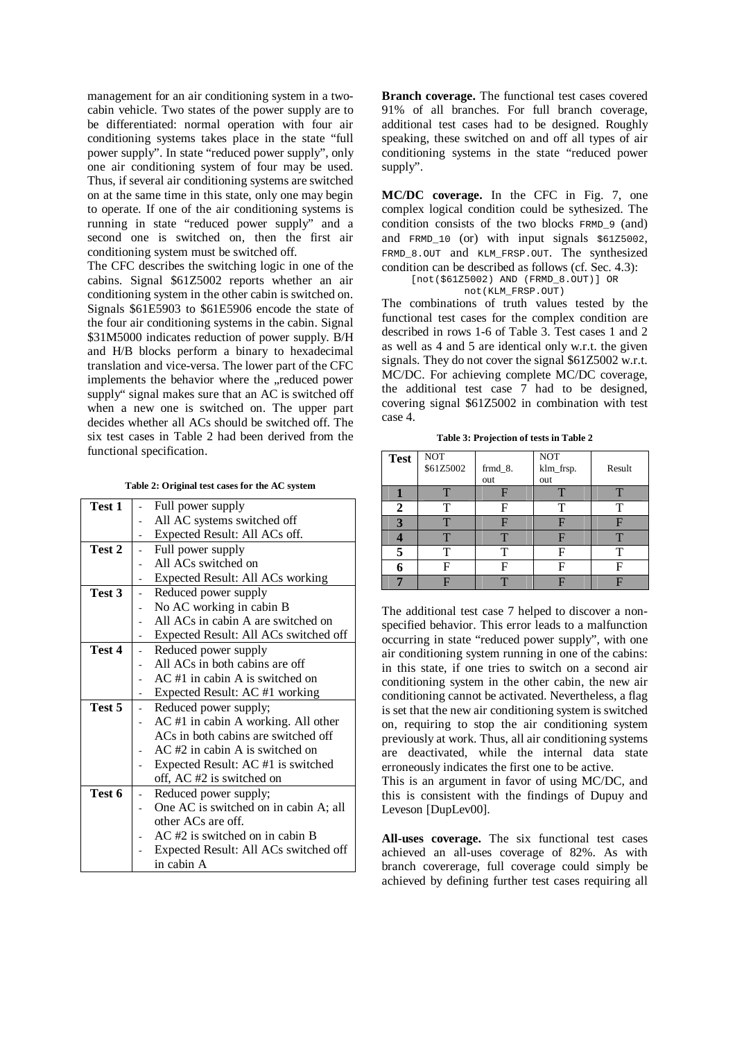management for an air conditioning system in a twocabin vehicle. Two states of the power supply are to be differentiated: normal operation with four air conditioning systems takes place in the state "full power supply". In state "reduced power supply", only one air conditioning system of four may be used. Thus, if several air conditioning systems are switched on at the same time in this state, only one may begin to operate. If one of the air conditioning systems is running in state "reduced power supply" and a second one is switched on, then the first air conditioning system must be switched off.

The CFC describes the switching logic in one of the cabins. Signal \$61Z5002 reports whether an air conditioning system in the other cabin is switched on. Signals \$61E5903 to \$61E5906 encode the state of the four air conditioning systems in the cabin. Signal \$31M5000 indicates reduction of power supply. B/H and H/B blocks perform a binary to hexadecimal translation and vice-versa. The lower part of the CFC implements the behavior where the "reduced power supply" signal makes sure that an AC is switched off when a new one is switched on. The upper part decides whether all ACs should be switched off. The six test cases in Table 2 had been derived from the functional specification.

**Table 2: Original test cases for the AC system**

| Test 1            | Full power supply                     |  |  |  |  |
|-------------------|---------------------------------------|--|--|--|--|
|                   | All AC systems switched off           |  |  |  |  |
|                   | Expected Result: All ACs off.         |  |  |  |  |
| Test 2            | Full power supply                     |  |  |  |  |
|                   | All ACs switched on                   |  |  |  |  |
|                   | Expected Result: All ACs working      |  |  |  |  |
| Test <sub>3</sub> | Reduced power supply                  |  |  |  |  |
|                   | No AC working in cabin B              |  |  |  |  |
|                   | All ACs in cabin A are switched on    |  |  |  |  |
|                   | Expected Result: All ACs switched off |  |  |  |  |
| Test <sub>4</sub> | Reduced power supply                  |  |  |  |  |
|                   | All ACs in both cabins are off        |  |  |  |  |
|                   | $AC$ #1 in cabin A is switched on     |  |  |  |  |
|                   | Expected Result: AC #1 working        |  |  |  |  |
| Test 5            | Reduced power supply;                 |  |  |  |  |
|                   | AC#1 in cabin A working. All other    |  |  |  |  |
|                   | ACs in both cabins are switched off   |  |  |  |  |
|                   | $AC$ #2 in cabin A is switched on     |  |  |  |  |
|                   | Expected Result: AC #1 is switched    |  |  |  |  |
|                   | off, AC #2 is switched on             |  |  |  |  |
| Test 6            | Reduced power supply;                 |  |  |  |  |
|                   | One AC is switched on in cabin A; all |  |  |  |  |
|                   | other ACs are off.                    |  |  |  |  |
|                   | $AC$ #2 is switched on in cabin B     |  |  |  |  |
|                   | Expected Result: All ACs switched off |  |  |  |  |
|                   | in cabin A                            |  |  |  |  |

**Branch coverage.** The functional test cases covered 91% of all branches. For full branch coverage, additional test cases had to be designed. Roughly speaking, these switched on and off all types of air conditioning systems in the state "reduced power supply".

**MC/DC coverage.** In the CFC in Fig. 7, one complex logical condition could be sythesized. The condition consists of the two blocks FRMD\_9 (and) and FRMD\_10 (or) with input signals \$61Z5002, FRMD 8.0UT and KLM FRSP.OUT. The synthesized condition can be described as follows (cf. Sec. 4.3): [not(\$61Z5002) AND (FRMD\_8.OUT)] OR

### not(KLM\_FRSP.OUT)

The combinations of truth values tested by the functional test cases for the complex condition are described in rows 1-6 of Table 3. Test cases 1 and 2 as well as 4 and 5 are identical only w.r.t. the given signals. They do not cover the signal \$61Z5002 w.r.t. MC/DC. For achieving complete MC/DC coverage, the additional test case 7 had to be designed, covering signal \$61Z5002 in combination with test case 4.

**Table 3: Projection of tests in Table 2**

| <b>Test</b> | <b>NOT</b><br>\$61Z5002 | frmd_8.<br>out | <b>NOT</b><br>klm_frsp.<br>out | Result |
|-------------|-------------------------|----------------|--------------------------------|--------|
|             | П                       |                |                                |        |
| 2           | т                       | F              | т                              | т      |
|             | Т                       | F              | F                              | F      |
|             | T                       | т              | F                              |        |
| 5           | т                       | т              | F                              |        |
|             | F                       | F              | F                              | F      |
|             |                         |                |                                |        |

The additional test case 7 helped to discover a nonspecified behavior. This error leads to a malfunction occurring in state "reduced power supply", with one air conditioning system running in one of the cabins: in this state, if one tries to switch on a second air conditioning system in the other cabin, the new air conditioning cannot be activated. Nevertheless, a flag is set that the new air conditioning system is switched on, requiring to stop the air conditioning system previously at work. Thus, all air conditioning systems are deactivated, while the internal data state erroneously indicates the first one to be active.

This is an argument in favor of using MC/DC, and this is consistent with the findings of Dupuy and Leveson [DupLev00].

**All-uses coverage.** The six functional test cases achieved an all-uses coverage of 82%. As with branch covererage, full coverage could simply be achieved by defining further test cases requiring all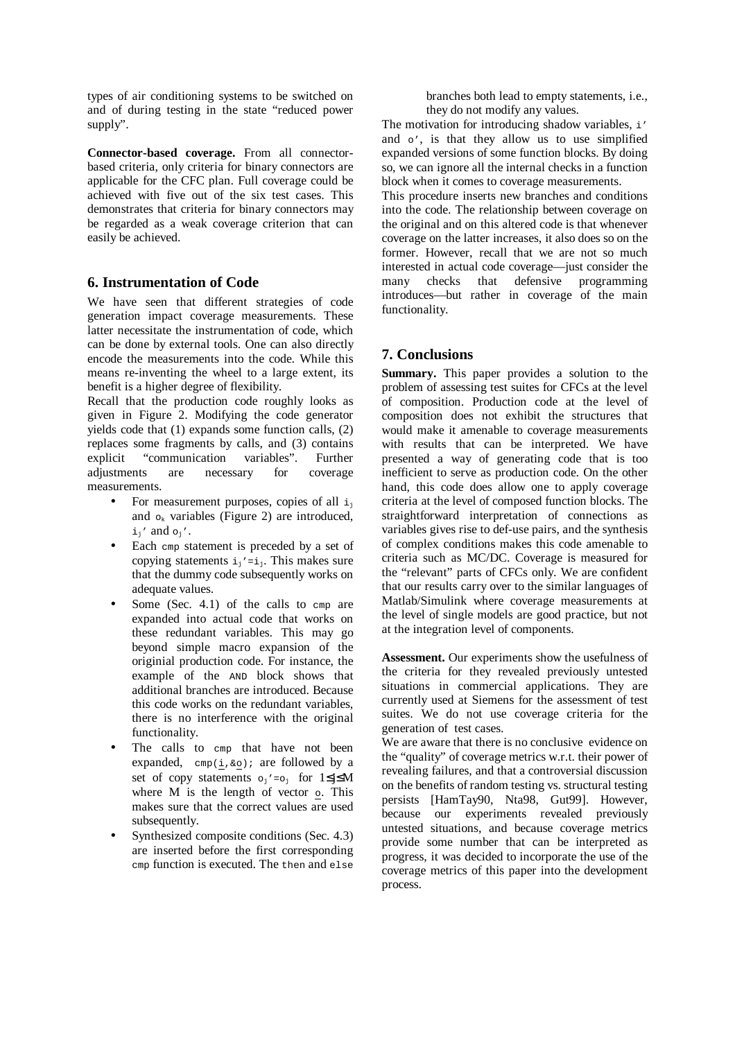types of air conditioning systems to be switched on and of during testing in the state "reduced power supply".

**Connector-based coverage.** From all connectorbased criteria, only criteria for binary connectors are applicable for the CFC plan. Full coverage could be achieved with five out of the six test cases. This demonstrates that criteria for binary connectors may be regarded as a weak coverage criterion that can easily be achieved.

### **6. Instrumentation of Code**

We have seen that different strategies of code generation impact coverage measurements. These latter necessitate the instrumentation of code, which can be done by external tools. One can also directly encode the measurements into the code. While this means re-inventing the wheel to a large extent, its benefit is a higher degree of flexibility.

Recall that the production code roughly looks as given in Figure 2. Modifying the code generator yields code that (1) expands some function calls, (2) replaces some fragments by calls, and (3) contains explicit "communication variables". Further adjustments are necessary for coverage measurements.

- For measurement purposes, copies of all  $i_j$ and  $o_k$  variables (Figure 2) are introduced,  $i_j$ ' and  $o_j'$ .
- Each cmp statement is preceded by a set of copying statements  $i_j' = i_j$ . This makes sure that the dummy code subsequently works on adequate values.
- Some (Sec. 4.1) of the calls to  $\text{cmp}$  are expanded into actual code that works on these redundant variables. This may go beyond simple macro expansion of the originial production code. For instance, the example of the AND block shows that additional branches are introduced. Because this code works on the redundant variables, there is no interference with the original functionality.
- The calls to cmp that have not been expanded,  $\text{cmp}(\underline{i},\&{\circ})$ ; are followed by a set of copy statements  $o_i' = o_i$  for  $1 \le i \le M$ where M is the length of vector o. This makes sure that the correct values are used subsequently.
- Synthesized composite conditions (Sec. 4.3) are inserted before the first corresponding cmp function is executed. The then and else

branches both lead to empty statements, i.e., they do not modify any values.

The motivation for introducing shadow variables, i' and o', is that they allow us to use simplified expanded versions of some function blocks. By doing so, we can ignore all the internal checks in a function block when it comes to coverage measurements.

This procedure inserts new branches and conditions into the code. The relationship between coverage on the original and on this altered code is that whenever coverage on the latter increases, it also does so on the former. However, recall that we are not so much interested in actual code coverage—just consider the many checks that defensive programming introduces—but rather in coverage of the main functionality.

# **7. Conclusions**

**Summary.** This paper provides a solution to the problem of assessing test suites for CFCs at the level of composition. Production code at the level of composition does not exhibit the structures that would make it amenable to coverage measurements with results that can be interpreted. We have presented a way of generating code that is too inefficient to serve as production code. On the other hand, this code does allow one to apply coverage criteria at the level of composed function blocks. The straightforward interpretation of connections as variables gives rise to def-use pairs, and the synthesis of complex conditions makes this code amenable to criteria such as MC/DC. Coverage is measured for the "relevant" parts of CFCs only. We are confident that our results carry over to the similar languages of Matlab/Simulink where coverage measurements at the level of single models are good practice, but not at the integration level of components.

**Assessment.** Our experiments show the usefulness of the criteria for they revealed previously untested situations in commercial applications. They are currently used at Siemens for the assessment of test suites. We do not use coverage criteria for the generation of test cases.

We are aware that there is no conclusive evidence on the "quality" of coverage metrics w.r.t. their power of revealing failures, and that a controversial discussion on the benefits of random testing vs. structural testing persists [HamTay90, Nta98, Gut99]. However, because our experiments revealed previously untested situations, and because coverage metrics provide some number that can be interpreted as progress, it was decided to incorporate the use of the coverage metrics of this paper into the development process.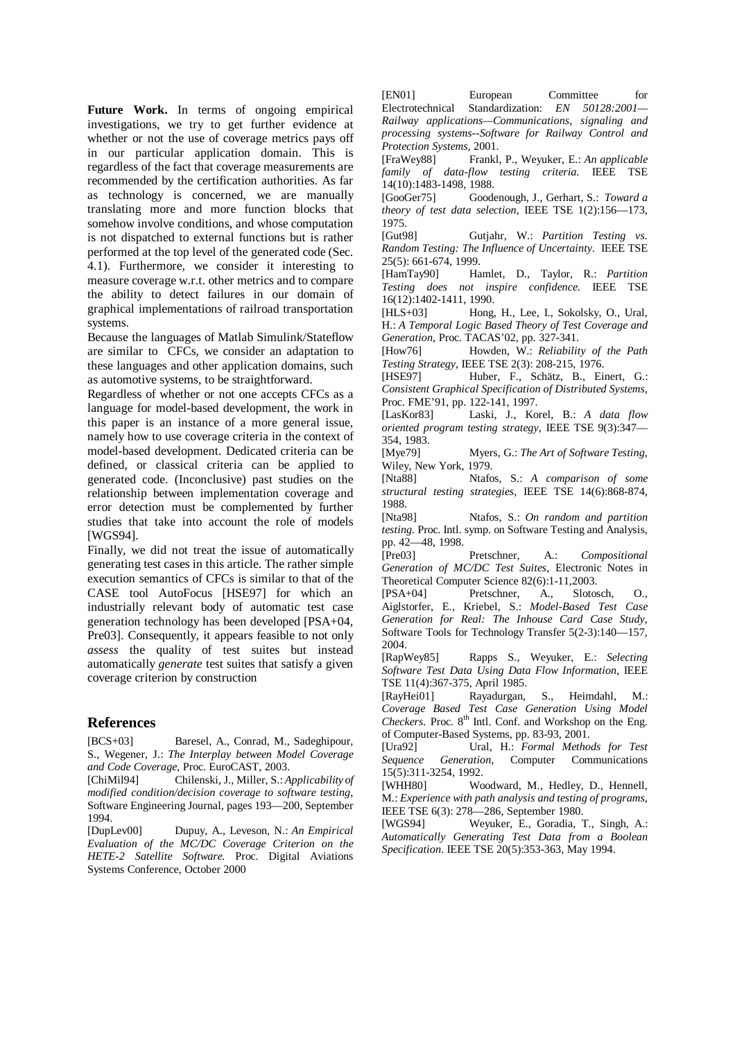**Future Work.** In terms of ongoing empirical investigations, we try to get further evidence at whether or not the use of coverage metrics pays off in our particular application domain. This is regardless of the fact that coverage measurements are recommended by the certification authorities. As far as technology is concerned, we are manually translating more and more function blocks that somehow involve conditions, and whose computation is not dispatched to external functions but is rather performed at the top level of the generated code (Sec. 4.1). Furthermore, we consider it interesting to measure coverage w.r.t. other metrics and to compare the ability to detect failures in our domain of graphical implementations of railroad transportation systems.

Because the languages of Matlab Simulink/Stateflow are similar to CFCs, we consider an adaptation to these languages and other application domains, such as automotive systems, to be straightforward.

Regardless of whether or not one accepts CFCs as a language for model-based development, the work in this paper is an instance of a more general issue, namely how to use coverage criteria in the context of model-based development. Dedicated criteria can be defined, or classical criteria can be applied to generated code. (Inconclusive) past studies on the relationship between implementation coverage and error detection must be complemented by further studies that take into account the role of models [WGS94].

Finally, we did not treat the issue of automatically generating test cases in this article. The rather simple execution semantics of CFCs is similar to that of the CASE tool AutoFocus [HSE97] for which an industrially relevant body of automatic test case generation technology has been developed [PSA+04, Pre03]. Consequently, it appears feasible to not only *assess* the quality of test suites but instead automatically *generate* test suites that satisfy a given coverage criterion by construction

### **References**

[BCS+03] Baresel, A., Conrad, M., Sadeghipour, S., Wegener, J.: *The Interplay between Model Coverage and Code Coverage*, Proc. EuroCAST, 2003.

[ChiMil94] Chilenski, J., Miller, S.: *Applicability of modified condition/decision coverage to software testing*, Software Engineering Journal, pages 193—200, September 1994.

[DupLev00] Dupuy, A., Leveson, N.: *An Empirical Evaluation of the MC/DC Coverage Criterion on the HETE-2 Satellite Software.* Proc. Digital Aviations Systems Conference, October 2000

[EN01] European Committee for Electrotechnical Standardization: *EN 50128:2001— Railway applications—Communications, signaling and processing systems--Software for Railway Control and Protection Systems*, 2001.

[FraWey88] Frankl, P., Weyuker, E.: *An applicable family of data-flow testing criteria.* IEEE TSE 14(10):1483-1498, 1988.

[GooGer75] Goodenough, J., Gerhart, S.: *Toward a theory of test data selection*, IEEE TSE 1(2):156—173, 1975.

[Gut98] Gutjahr, W.: *Partition Testing vs. Random Testing: The Influence of Uncertainty.* IEEE TSE 25(5): 661-674, 1999.

[HamTay90] Hamlet, D., Taylor, R.: *Partition Testing does not inspire confidence*. IEEE TSE 16(12):1402-1411, 1990.

 $[HLS+03]$  Hong, H., Lee, I., Sokolsky, O., Ural, H.: *A Temporal Logic Based Theory of Test Coverage and Generation*, Proc. TACAS'02, pp. 327-341.

[How76] Howden, W.: *Reliability of the Path Testing Strategy*, IEEE TSE 2(3): 208-215, 1976.

[HSE97] Huber, F., Schätz, B., Einert, G.: *Consistent Graphical Specification of Distributed Systems*, Proc. FME'91, pp. 122-141, 1997.

[LasKor83] Laski, J., Korel, B.: *A data flow oriented program testing strategy*, IEEE TSE 9(3):347— 354, 1983.

[Mye79] Myers, G.: *The Art of Software Testing*, Wiley, New York, 1979.

[Nta88] Ntafos, S.: *A comparison of some structural testing strategies*, IEEE TSE 14(6):868-874, 1988.

[Nta98] Ntafos, S.: *On random and partition testing.* Proc. Intl. symp. on Software Testing and Analysis, pp. 42—48, 1998.

[Pre03] Pretschner, A.: *Compositional Generation of MC/DC Test Suites*, Electronic Notes in Theoretical Computer Science 82(6):1-11,2003.<br>
[PSA+04] Pretschner. A., Slotosch.

[PSA+04] Pretschner, A., Slotosch, O., Aiglstorfer, E., Kriebel, S.: *Model-Based Test Case Generation for Real: The Inhouse Card Case Study*, Software Tools for Technology Transfer 5(2-3):140—157, 2004.

[RapWey85] Rapps S., Weyuker, E.: *Selecting Software Test Data Using Data Flow Information*, IEEE TSE 11(4):367-375, April 1985.

[RayHei01] Rayadurgan, S., Heimdahl, M.: *Coverage Based Test Case Generation Using Model* Checkers. Proc. 8<sup>th</sup> Intl. Conf. and Workshop on the Eng. of Computer-Based Systems, pp. 83-93, 2001.

[Ura92] Ural, H.: *Formal Methods for Test Sequence Generation*, Computer Communications 15(5):311-3254, 1992.

[WHH80] Woodward, M., Hedley, D., Hennell, M*.*: *Experience with path analysis and testing of programs*, IEEE TSE 6(3): 278—286, September 1980.

[WGS94] Weyuker, E., Goradia, T., Singh, A.: *Automatically Generating Test Data from a Boolean Specification*. IEEE TSE 20(5):353-363, May 1994.